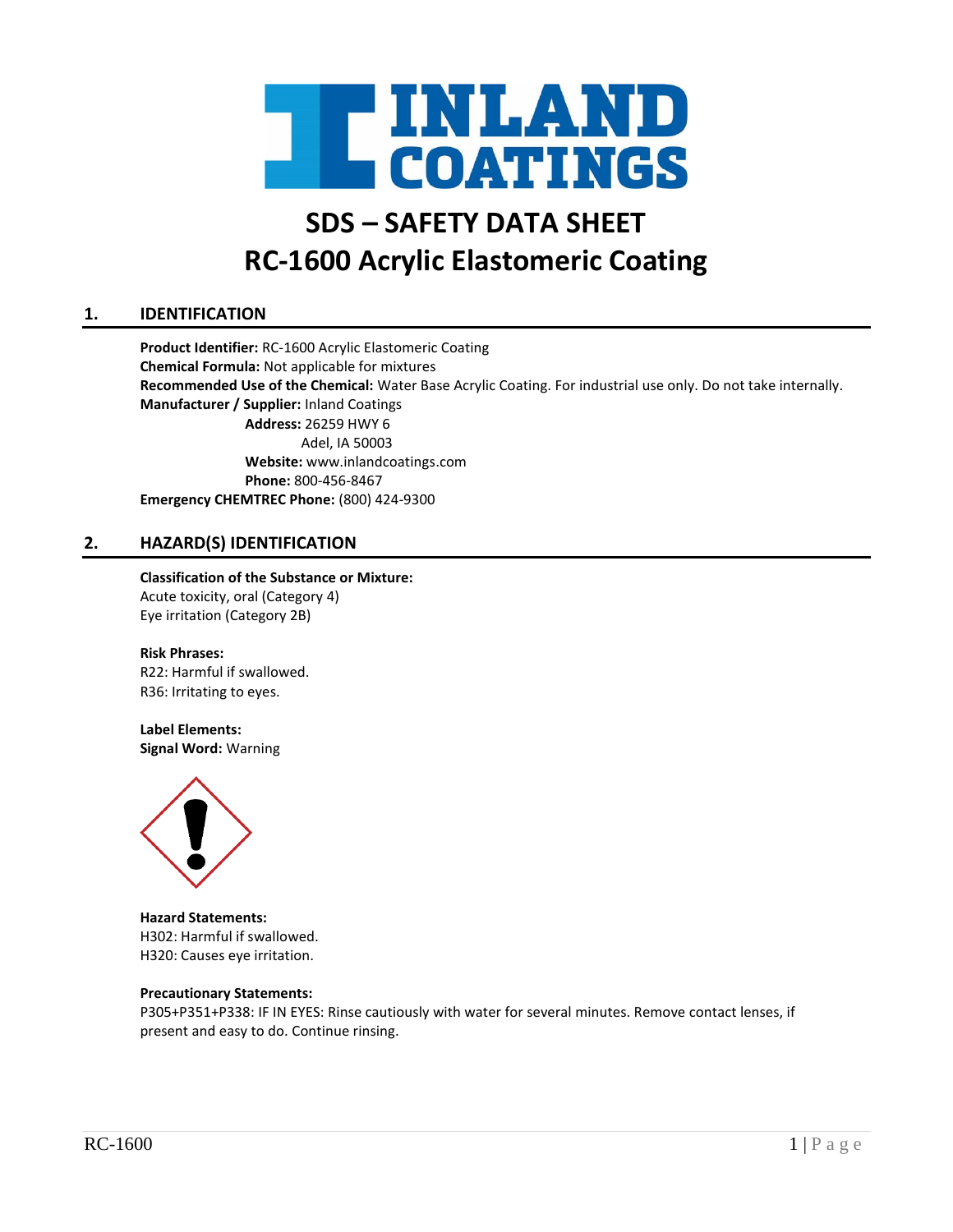

# **SDS – SAFETY DATA SHEET RC-1600 Acrylic Elastomeric Coating**

# **1. IDENTIFICATION**

**Product Identifier:** RC-1600 Acrylic Elastomeric Coating **Chemical Formula:** Not applicable for mixtures **Recommended Use of the Chemical:** Water Base Acrylic Coating. For industrial use only. Do not take internally. **Manufacturer / Supplier:** Inland Coatings **Address:** 26259 HWY 6 Adel, IA 50003 **Website:** www.inlandcoatings.com **Phone:** 800-456-8467 **Emergency CHEMTREC Phone:** (800) 424-9300

# **2. HAZARD(S) IDENTIFICATION**

# **Classification of the Substance or Mixture:**

Acute toxicity, oral (Category 4) Eye irritation (Category 2B)

#### **Risk Phrases:**

R22: Harmful if swallowed. R36: Irritating to eyes.

#### **Label Elements:**

**Signal Word:** Warning



**Hazard Statements:** H302: Harmful if swallowed. H320: Causes eye irritation.

#### **Precautionary Statements:**

P305+P351+P338: IF IN EYES: Rinse cautiously with water for several minutes. Remove contact lenses, if present and easy to do. Continue rinsing.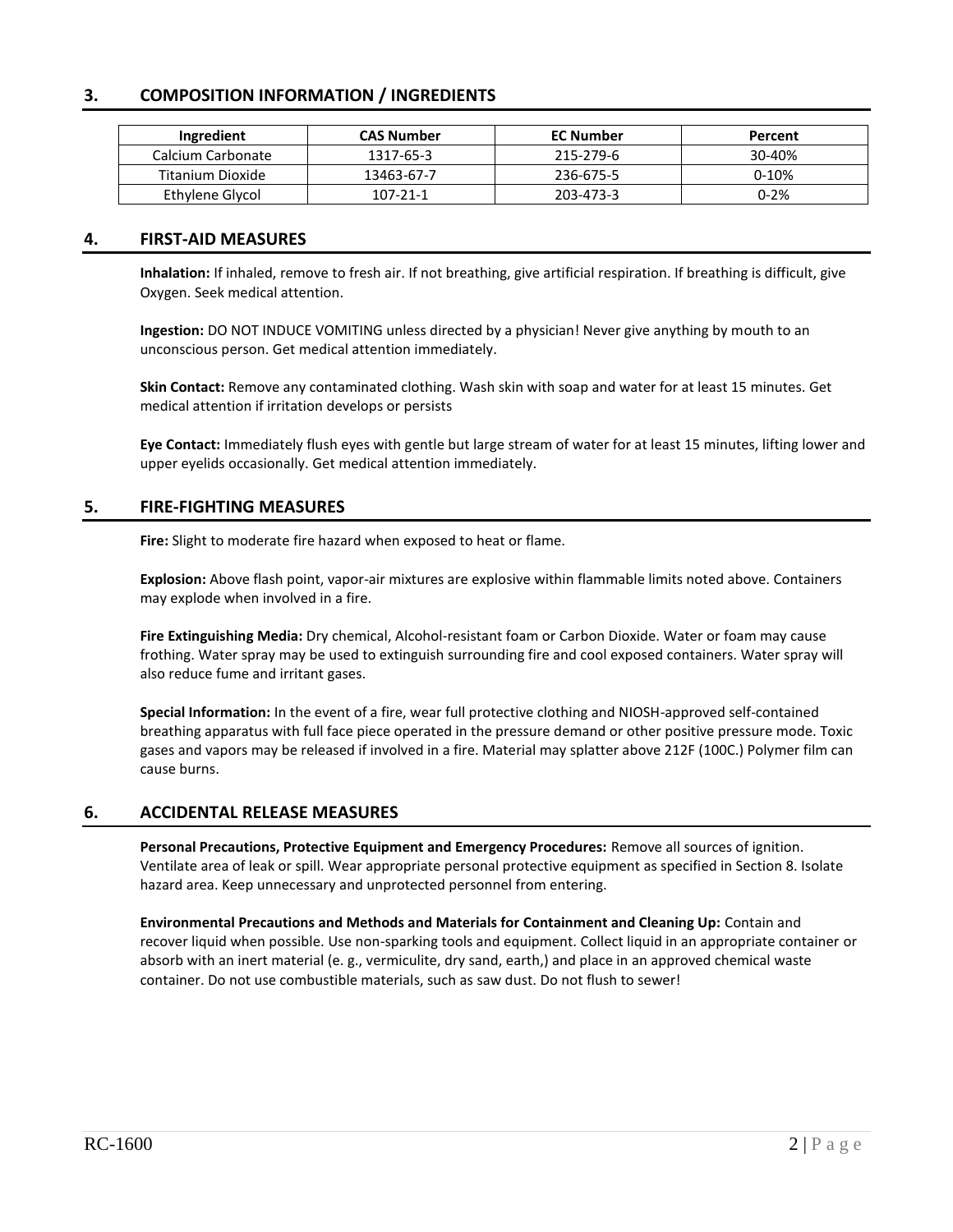# **3. COMPOSITION INFORMATION / INGREDIENTS**

| Ingredient        | <b>CAS Number</b> | <b>EC Number</b> | Percent  |
|-------------------|-------------------|------------------|----------|
| Calcium Carbonate | 1317-65-3         | 215-279-6        | 30-40%   |
| Titanium Dioxide  | 13463-67-7        | 236-675-5        | $0-10%$  |
| Ethylene Glycol   | 107-21-1          | 203-473-3        | $0 - 2%$ |

# **4. FIRST-AID MEASURES**

**Inhalation:** If inhaled, remove to fresh air. If not breathing, give artificial respiration. If breathing is difficult, give Oxygen. Seek medical attention.

**Ingestion:** DO NOT INDUCE VOMITING unless directed by a physician! Never give anything by mouth to an unconscious person. Get medical attention immediately.

**Skin Contact:** Remove any contaminated clothing. Wash skin with soap and water for at least 15 minutes. Get medical attention if irritation develops or persists

**Eye Contact:** Immediately flush eyes with gentle but large stream of water for at least 15 minutes, lifting lower and upper eyelids occasionally. Get medical attention immediately.

# **5. FIRE-FIGHTING MEASURES**

**Fire:** Slight to moderate fire hazard when exposed to heat or flame.

**Explosion:** Above flash point, vapor-air mixtures are explosive within flammable limits noted above. Containers may explode when involved in a fire.

**Fire Extinguishing Media:** Dry chemical, Alcohol-resistant foam or Carbon Dioxide. Water or foam may cause frothing. Water spray may be used to extinguish surrounding fire and cool exposed containers. Water spray will also reduce fume and irritant gases.

**Special Information:** In the event of a fire, wear full protective clothing and NIOSH-approved self-contained breathing apparatus with full face piece operated in the pressure demand or other positive pressure mode. Toxic gases and vapors may be released if involved in a fire. Material may splatter above 212F (100C.) Polymer film can cause burns.

# **6. ACCIDENTAL RELEASE MEASURES**

**Personal Precautions, Protective Equipment and Emergency Procedures:** Remove all sources of ignition. Ventilate area of leak or spill. Wear appropriate personal protective equipment as specified in Section 8. Isolate hazard area. Keep unnecessary and unprotected personnel from entering.

**Environmental Precautions and Methods and Materials for Containment and Cleaning Up:** Contain and recover liquid when possible. Use non-sparking tools and equipment. Collect liquid in an appropriate container or absorb with an inert material (e. g., vermiculite, dry sand, earth,) and place in an approved chemical waste container. Do not use combustible materials, such as saw dust. Do not flush to sewer!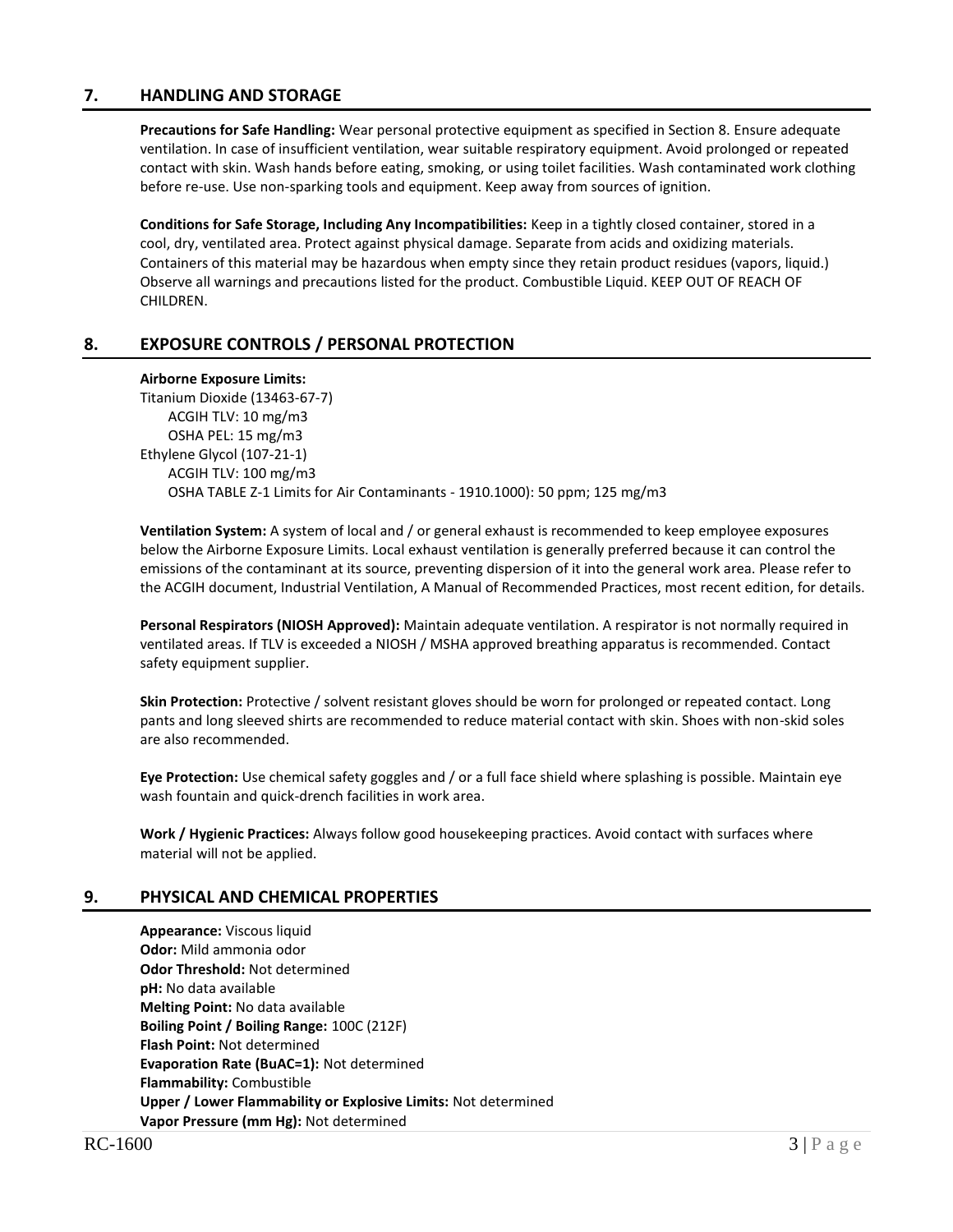# **7. HANDLING AND STORAGE**

**Precautions for Safe Handling:** Wear personal protective equipment as specified in Section 8. Ensure adequate ventilation. In case of insufficient ventilation, wear suitable respiratory equipment. Avoid prolonged or repeated contact with skin. Wash hands before eating, smoking, or using toilet facilities. Wash contaminated work clothing before re-use. Use non-sparking tools and equipment. Keep away from sources of ignition.

**Conditions for Safe Storage, Including Any Incompatibilities:** Keep in a tightly closed container, stored in a cool, dry, ventilated area. Protect against physical damage. Separate from acids and oxidizing materials. Containers of this material may be hazardous when empty since they retain product residues (vapors, liquid.) Observe all warnings and precautions listed for the product. Combustible Liquid. KEEP OUT OF REACH OF CHILDREN.

# **8. EXPOSURE CONTROLS / PERSONAL PROTECTION**

#### **Airborne Exposure Limits:**

Titanium Dioxide (13463-67-7) ACGIH TLV: 10 mg/m3 OSHA PEL: 15 mg/m3 Ethylene Glycol (107-21-1) ACGIH TLV: 100 mg/m3 OSHA TABLE Z-1 Limits for Air Contaminants - 1910.1000): 50 ppm; 125 mg/m3

**Ventilation System:** A system of local and / or general exhaust is recommended to keep employee exposures below the Airborne Exposure Limits. Local exhaust ventilation is generally preferred because it can control the emissions of the contaminant at its source, preventing dispersion of it into the general work area. Please refer to the ACGIH document, Industrial Ventilation, A Manual of Recommended Practices, most recent edition, for details.

**Personal Respirators (NIOSH Approved):** Maintain adequate ventilation. A respirator is not normally required in ventilated areas. If TLV is exceeded a NIOSH / MSHA approved breathing apparatus is recommended. Contact safety equipment supplier.

**Skin Protection:** Protective / solvent resistant gloves should be worn for prolonged or repeated contact. Long pants and long sleeved shirts are recommended to reduce material contact with skin. Shoes with non-skid soles are also recommended.

**Eye Protection:** Use chemical safety goggles and / or a full face shield where splashing is possible. Maintain eye wash fountain and quick-drench facilities in work area.

**Work / Hygienic Practices:** Always follow good housekeeping practices. Avoid contact with surfaces where material will not be applied.

# **9. PHYSICAL AND CHEMICAL PROPERTIES**

**Appearance:** Viscous liquid **Odor:** Mild ammonia odor **Odor Threshold:** Not determined **pH:** No data available **Melting Point:** No data available **Boiling Point / Boiling Range:** 100C (212F) **Flash Point:** Not determined **Evaporation Rate (BuAC=1):** Not determined **Flammability:** Combustible **Upper / Lower Flammability or Explosive Limits:** Not determined **Vapor Pressure (mm Hg):** Not determined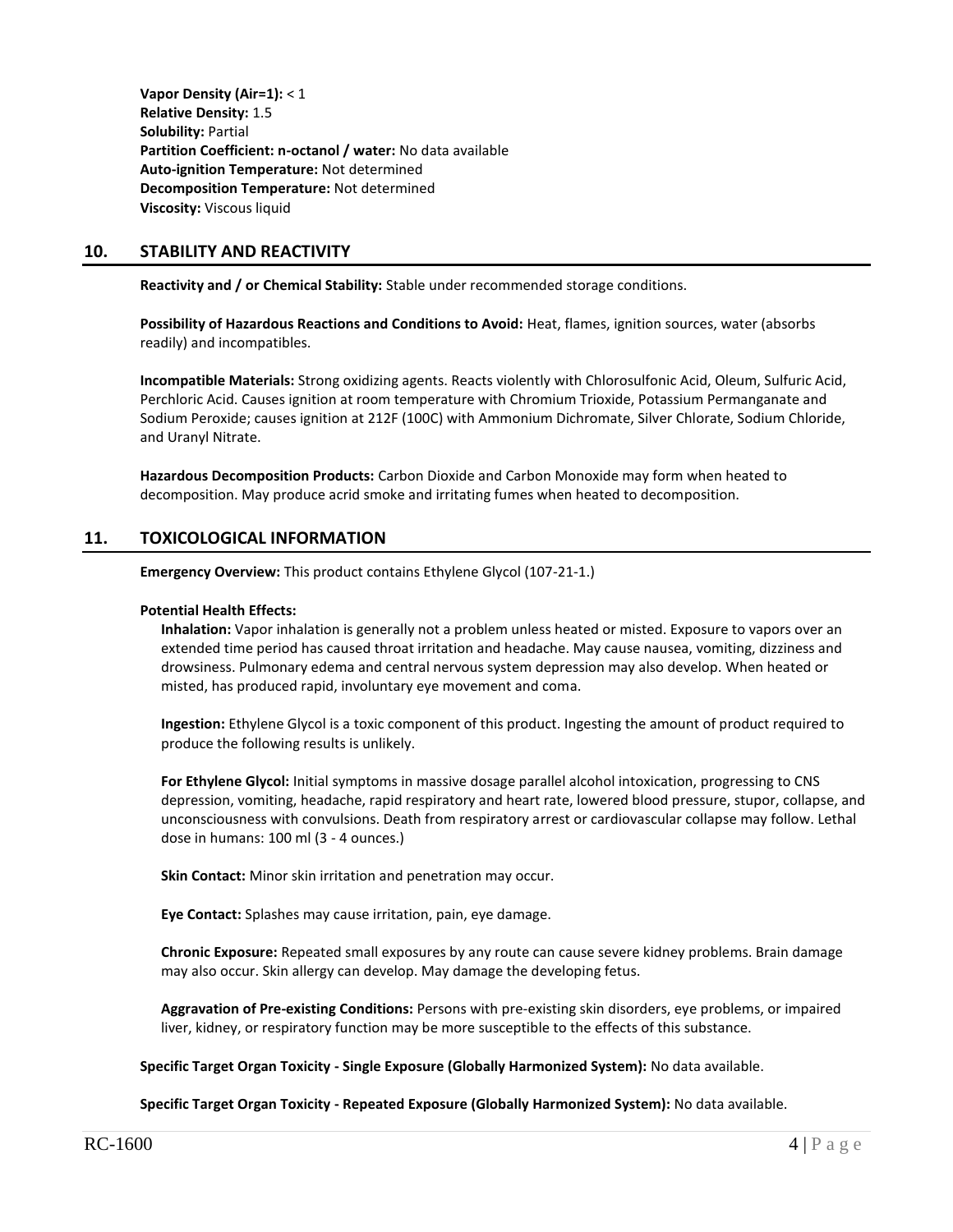**Vapor Density (Air=1):** < 1 **Relative Density:** 1.5 **Solubility:** Partial **Partition Coefficient: n-octanol / water:** No data available **Auto-ignition Temperature:** Not determined **Decomposition Temperature:** Not determined **Viscosity:** Viscous liquid

# **10. STABILITY AND REACTIVITY**

**Reactivity and / or Chemical Stability:** Stable under recommended storage conditions.

**Possibility of Hazardous Reactions and Conditions to Avoid:** Heat, flames, ignition sources, water (absorbs readily) and incompatibles.

**Incompatible Materials:** Strong oxidizing agents. Reacts violently with Chlorosulfonic Acid, Oleum, Sulfuric Acid, Perchloric Acid. Causes ignition at room temperature with Chromium Trioxide, Potassium Permanganate and Sodium Peroxide; causes ignition at 212F (100C) with Ammonium Dichromate, Silver Chlorate, Sodium Chloride, and Uranyl Nitrate.

**Hazardous Decomposition Products:** Carbon Dioxide and Carbon Monoxide may form when heated to decomposition. May produce acrid smoke and irritating fumes when heated to decomposition.

# **11. TOXICOLOGICAL INFORMATION**

**Emergency Overview:** This product contains Ethylene Glycol (107-21-1.)

#### **Potential Health Effects:**

**Inhalation:** Vapor inhalation is generally not a problem unless heated or misted. Exposure to vapors over an extended time period has caused throat irritation and headache. May cause nausea, vomiting, dizziness and drowsiness. Pulmonary edema and central nervous system depression may also develop. When heated or misted, has produced rapid, involuntary eye movement and coma.

**Ingestion:** Ethylene Glycol is a toxic component of this product. Ingesting the amount of product required to produce the following results is unlikely.

**For Ethylene Glycol:** Initial symptoms in massive dosage parallel alcohol intoxication, progressing to CNS depression, vomiting, headache, rapid respiratory and heart rate, lowered blood pressure, stupor, collapse, and unconsciousness with convulsions. Death from respiratory arrest or cardiovascular collapse may follow. Lethal dose in humans: 100 ml (3 - 4 ounces.)

**Skin Contact:** Minor skin irritation and penetration may occur.

**Eye Contact:** Splashes may cause irritation, pain, eye damage.

**Chronic Exposure:** Repeated small exposures by any route can cause severe kidney problems. Brain damage may also occur. Skin allergy can develop. May damage the developing fetus.

**Aggravation of Pre-existing Conditions:** Persons with pre-existing skin disorders, eye problems, or impaired liver, kidney, or respiratory function may be more susceptible to the effects of this substance.

**Specific Target Organ Toxicity - Single Exposure (Globally Harmonized System):** No data available.

**Specific Target Organ Toxicity - Repeated Exposure (Globally Harmonized System):** No data available.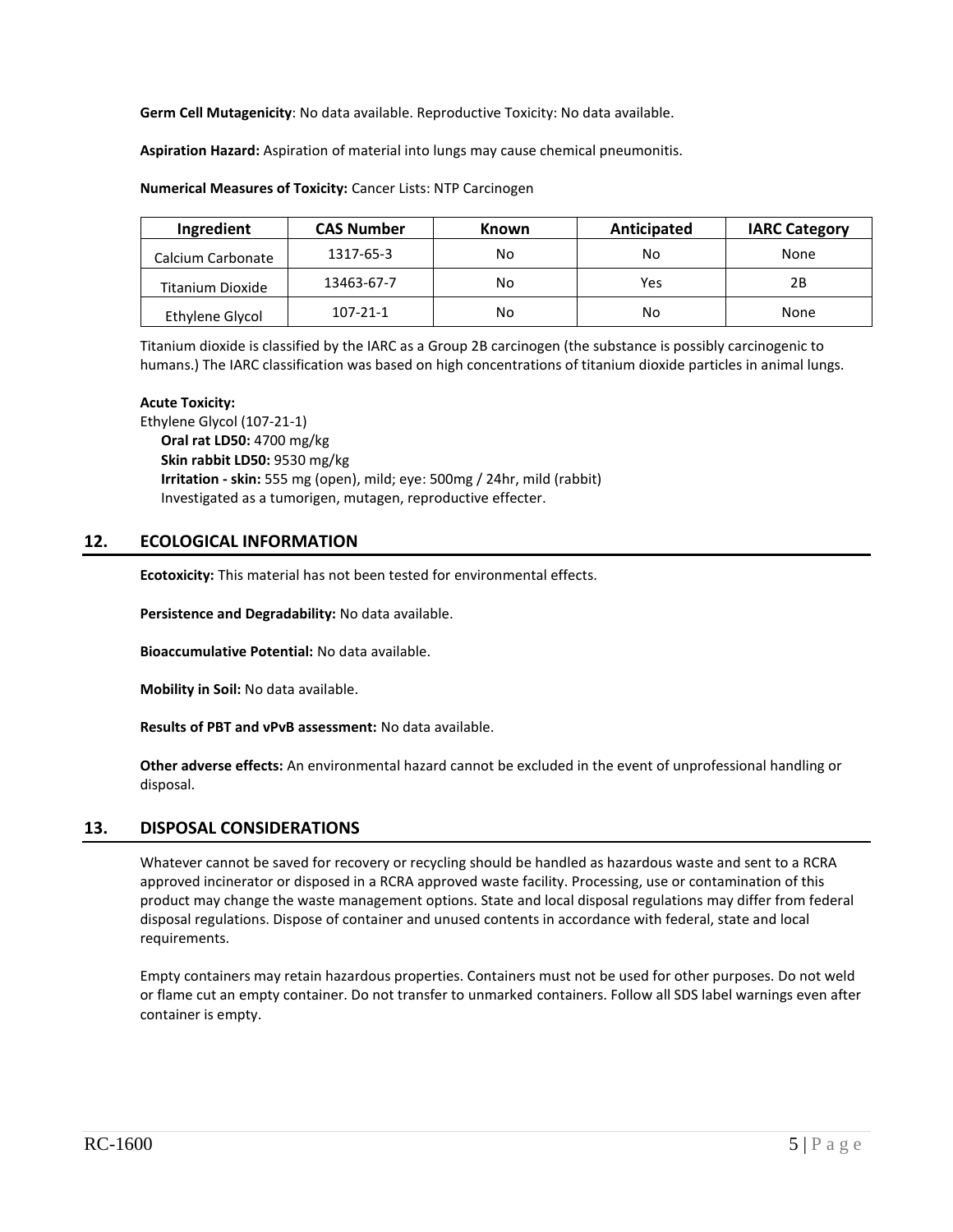**Germ Cell Mutagenicity**: No data available. Reproductive Toxicity: No data available.

**Aspiration Hazard:** Aspiration of material into lungs may cause chemical pneumonitis.

#### **Numerical Measures of Toxicity:** Cancer Lists: NTP Carcinogen

| Ingredient        | <b>CAS Number</b> | <b>Known</b> | Anticipated | <b>IARC Category</b> |
|-------------------|-------------------|--------------|-------------|----------------------|
| Calcium Carbonate | 1317-65-3         | No           | No          | None                 |
| Titanium Dioxide  | 13463-67-7        | No           | Yes         | 2Β                   |
| Ethylene Glycol   | $107 - 21 - 1$    | No           | No          | None                 |

Titanium dioxide is classified by the IARC as a Group 2B carcinogen (the substance is possibly carcinogenic to humans.) The IARC classification was based on high concentrations of titanium dioxide particles in animal lungs.

#### **Acute Toxicity:**

Ethylene Glycol (107-21-1) **Oral rat LD50:** 4700 mg/kg **Skin rabbit LD50:** 9530 mg/kg **Irritation - skin:** 555 mg (open), mild; eye: 500mg / 24hr, mild (rabbit) Investigated as a tumorigen, mutagen, reproductive effecter.

# **12. ECOLOGICAL INFORMATION**

**Ecotoxicity:** This material has not been tested for environmental effects.

**Persistence and Degradability:** No data available.

**Bioaccumulative Potential:** No data available.

**Mobility in Soil:** No data available.

**Results of PBT and vPvB assessment:** No data available.

**Other adverse effects:** An environmental hazard cannot be excluded in the event of unprofessional handling or disposal.

# **13. DISPOSAL CONSIDERATIONS**

Whatever cannot be saved for recovery or recycling should be handled as hazardous waste and sent to a RCRA approved incinerator or disposed in a RCRA approved waste facility. Processing, use or contamination of this product may change the waste management options. State and local disposal regulations may differ from federal disposal regulations. Dispose of container and unused contents in accordance with federal, state and local requirements.

Empty containers may retain hazardous properties. Containers must not be used for other purposes. Do not weld or flame cut an empty container. Do not transfer to unmarked containers. Follow all SDS label warnings even after container is empty.